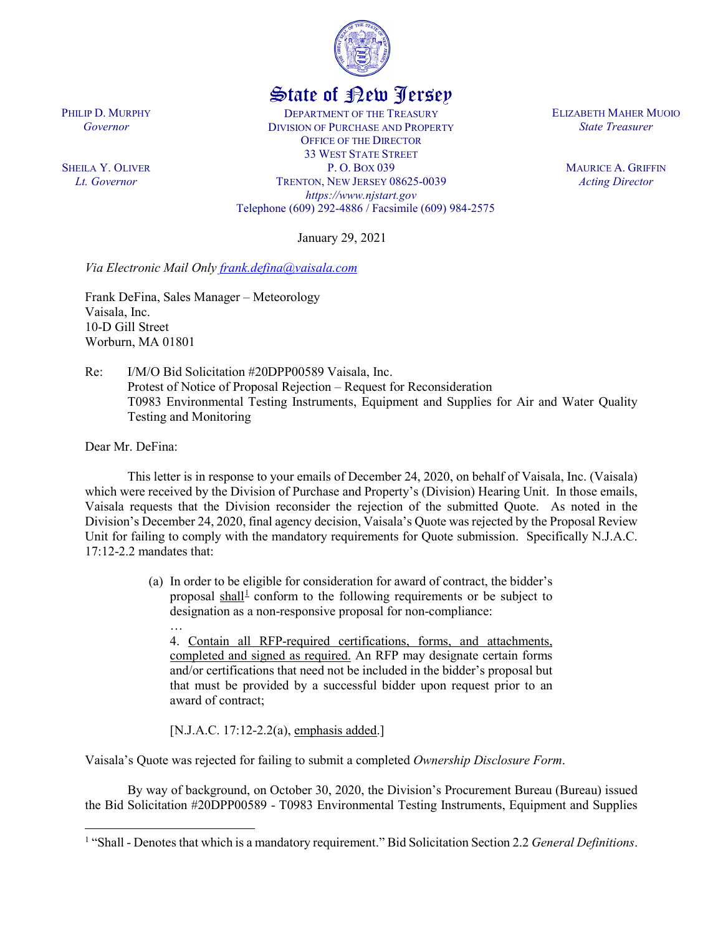

## State of New Jersey

DEPARTMENT OF THE TREASURY DIVISION OF PURCHASE AND PROPERTY OFFICE OF THE DIRECTOR 33 WEST STATE STREET P. O. BOX 039 TRENTON, NEW JERSEY 08625-0039 *https://www.njstart.gov* Telephone (609) 292-4886 / Facsimile (609) 984-2575

January 29, 2021

*Via Electronic Mail Only [frank.defina@vaisala.com](mailto:frank.defina@vaisala.com)*

Frank DeFina, Sales Manager – Meteorology Vaisala, Inc. 10-D Gill Street Worburn, MA 01801

Re: I/M/O Bid Solicitation #20DPP00589 Vaisala, Inc. Protest of Notice of Proposal Rejection – Request for Reconsideration T0983 Environmental Testing Instruments, Equipment and Supplies for Air and Water Quality Testing and Monitoring

Dear Mr. DeFina:

l

…

This letter is in response to your emails of December 24, 2020, on behalf of Vaisala, Inc. (Vaisala) which were received by the Division of Purchase and Property's (Division) Hearing Unit. In those emails, Vaisala requests that the Division reconsider the rejection of the submitted Quote. As noted in the Division's December 24, 2020, final agency decision, Vaisala's Quote was rejected by the Proposal Review Unit for failing to comply with the mandatory requirements for Quote submission. Specifically N.J.A.C. 17:12-2.2 mandates that:

> (a) In order to be eligible for consideration for award of contract, the bidder's proposal shall<sup>[1](#page-0-0)</sup> conform to the following requirements or be subject to designation as a non-responsive proposal for non-compliance:

4. Contain all RFP-required certifications, forms, and attachments, completed and signed as required. An RFP may designate certain forms and/or certifications that need not be included in the bidder's proposal but that must be provided by a successful bidder upon request prior to an award of contract;

[N.J.A.C. 17:12-2.2(a), emphasis added.]

Vaisala's Quote was rejected for failing to submit a completed *Ownership Disclosure Form*.

By way of background, on October 30, 2020, the Division's Procurement Bureau (Bureau) issued the Bid Solicitation #20DPP00589 - T0983 Environmental Testing Instruments, Equipment and Supplies

PHILIP D. MURPHY *Governor*

SHEILA Y. OLIVER *Lt. Governor*

ELIZABETH MAHER MUOIO *State Treasurer*

> MAURICE A. GRIFFIN *Acting Director*

<span id="page-0-0"></span><sup>1</sup> "Shall - Denotes that which is a mandatory requirement." Bid Solicitation Section 2.2 *General Definitions*.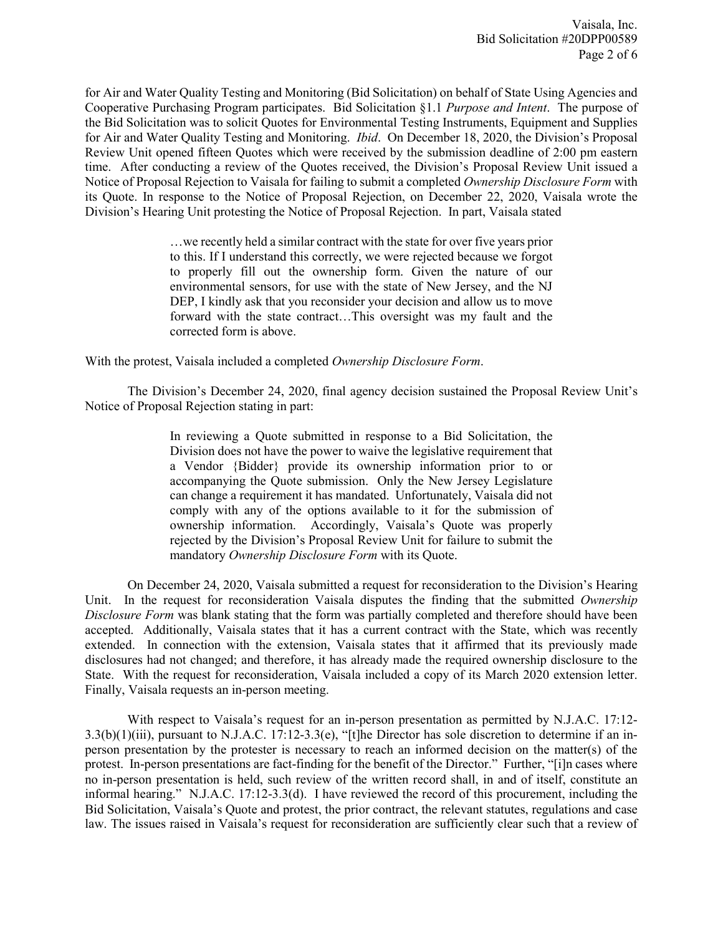for Air and Water Quality Testing and Monitoring (Bid Solicitation) on behalf of State Using Agencies and Cooperative Purchasing Program participates. Bid Solicitation §1.1 *Purpose and Intent*. The purpose of the Bid Solicitation was to solicit Quotes for Environmental Testing Instruments, Equipment and Supplies for Air and Water Quality Testing and Monitoring. *Ibid*. On December 18, 2020, the Division's Proposal Review Unit opened fifteen Quotes which were received by the submission deadline of 2:00 pm eastern time. After conducting a review of the Quotes received, the Division's Proposal Review Unit issued a Notice of Proposal Rejection to Vaisala for failing to submit a completed *Ownership Disclosure Form* with its Quote. In response to the Notice of Proposal Rejection, on December 22, 2020, Vaisala wrote the Division's Hearing Unit protesting the Notice of Proposal Rejection. In part, Vaisala stated

> …we recently held a similar contract with the state for over five years prior to this. If I understand this correctly, we were rejected because we forgot to properly fill out the ownership form. Given the nature of our environmental sensors, for use with the state of New Jersey, and the NJ DEP, I kindly ask that you reconsider your decision and allow us to move forward with the state contract…This oversight was my fault and the corrected form is above.

With the protest, Vaisala included a completed *Ownership Disclosure Form*.

The Division's December 24, 2020, final agency decision sustained the Proposal Review Unit's Notice of Proposal Rejection stating in part:

> In reviewing a Quote submitted in response to a Bid Solicitation, the Division does not have the power to waive the legislative requirement that a Vendor {Bidder} provide its ownership information prior to or accompanying the Quote submission. Only the New Jersey Legislature can change a requirement it has mandated. Unfortunately, Vaisala did not comply with any of the options available to it for the submission of ownership information. Accordingly, Vaisala's Quote was properly rejected by the Division's Proposal Review Unit for failure to submit the mandatory *Ownership Disclosure Form* with its Quote.

On December 24, 2020, Vaisala submitted a request for reconsideration to the Division's Hearing Unit. In the request for reconsideration Vaisala disputes the finding that the submitted *Ownership Disclosure Form* was blank stating that the form was partially completed and therefore should have been accepted. Additionally, Vaisala states that it has a current contract with the State, which was recently extended. In connection with the extension, Vaisala states that it affirmed that its previously made disclosures had not changed; and therefore, it has already made the required ownership disclosure to the State. With the request for reconsideration, Vaisala included a copy of its March 2020 extension letter. Finally, Vaisala requests an in-person meeting.

With respect to Vaisala's request for an in-person presentation as permitted by N.J.A.C. 17:12- 3.3(b)(1)(iii), pursuant to N.J.A.C. 17:12-3.3(e), "[t]he Director has sole discretion to determine if an inperson presentation by the protester is necessary to reach an informed decision on the matter(s) of the protest. In-person presentations are fact-finding for the benefit of the Director." Further, "[i]n cases where no in-person presentation is held, such review of the written record shall, in and of itself, constitute an informal hearing." N.J.A.C. 17:12-3.3(d). I have reviewed the record of this procurement, including the Bid Solicitation, Vaisala's Quote and protest, the prior contract, the relevant statutes, regulations and case law. The issues raised in Vaisala's request for reconsideration are sufficiently clear such that a review of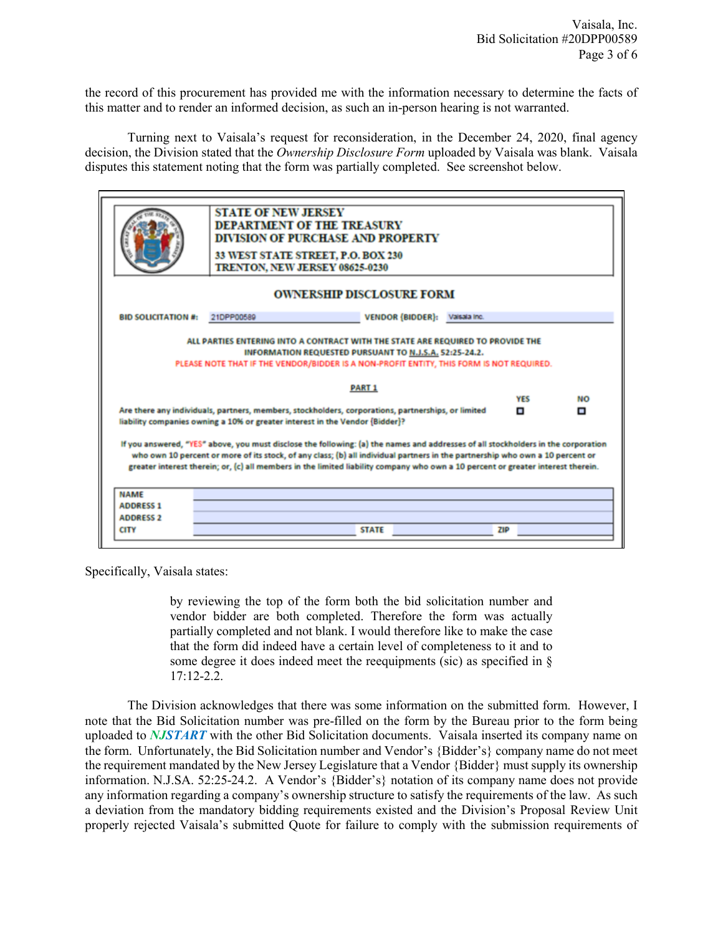the record of this procurement has provided me with the information necessary to determine the facts of this matter and to render an informed decision, as such an in-person hearing is not warranted.

Turning next to Vaisala's request for reconsideration, in the December 24, 2020, final agency decision, the Division stated that the *Ownership Disclosure Form* uploaded by Vaisala was blank. Vaisala disputes this statement noting that the form was partially completed. See screenshot below.

| <b>STATE OF NEW JERSEY</b><br><b>DEPARTMENT OF THE TREASURY</b><br><b>DIVISION OF PURCHASE AND PROPERTY</b><br>33 WEST STATE STREET, P.O. BOX 230<br>TRENTON, NEW JERSEY 08625-0230<br><b>OWNERSHIP DISCLOSURE FORM</b><br><b>BID SOLICITATION #:</b><br><b>VENDOR (BIDDER):</b><br>21DPP00589<br>Valsala Inc.<br>ALL PARTIES ENTERING INTO A CONTRACT WITH THE STATE ARE REQUIRED TO PROVIDE THE<br>INFORMATION REQUESTED PURSUANT TO N.J.S.A. 52:25-24.2.<br>PLEASE NOTE THAT IF THE VENDOR/BIDDER IS A NON-PROFIT ENTITY, THIS FORM IS NOT REQUIRED.<br><b>PART 1</b><br><b>YES</b><br><b>NO</b><br>Are there any individuals, partners, members, stockholders, corporations, partnerships, or limited<br>$\blacksquare$<br>о<br>liability companies owning a 10% or greater interest in the Vendor (Bidder)?<br>If you answered, "YES" above, you must disclose the following: (a) the names and addresses of all stockholders in the corporation<br>who own 10 percent or more of its stock, of any class; (b) all individual partners in the partnership who own a 10 percent or<br>greater interest therein; or, (c) all members in the limited liability company who own a 10 percent or greater interest therein.<br><b>NAME</b><br><b>ADDRESS 1</b><br><b>ADDRESS 2</b><br><b>STATE</b><br><b>CITY</b><br><b>ZIP</b> |  |  |  |  |  |  |  |
|--------------------------------------------------------------------------------------------------------------------------------------------------------------------------------------------------------------------------------------------------------------------------------------------------------------------------------------------------------------------------------------------------------------------------------------------------------------------------------------------------------------------------------------------------------------------------------------------------------------------------------------------------------------------------------------------------------------------------------------------------------------------------------------------------------------------------------------------------------------------------------------------------------------------------------------------------------------------------------------------------------------------------------------------------------------------------------------------------------------------------------------------------------------------------------------------------------------------------------------------------------------------------------------------------------------------------------|--|--|--|--|--|--|--|
|                                                                                                                                                                                                                                                                                                                                                                                                                                                                                                                                                                                                                                                                                                                                                                                                                                                                                                                                                                                                                                                                                                                                                                                                                                                                                                                                |  |  |  |  |  |  |  |
|                                                                                                                                                                                                                                                                                                                                                                                                                                                                                                                                                                                                                                                                                                                                                                                                                                                                                                                                                                                                                                                                                                                                                                                                                                                                                                                                |  |  |  |  |  |  |  |
|                                                                                                                                                                                                                                                                                                                                                                                                                                                                                                                                                                                                                                                                                                                                                                                                                                                                                                                                                                                                                                                                                                                                                                                                                                                                                                                                |  |  |  |  |  |  |  |
|                                                                                                                                                                                                                                                                                                                                                                                                                                                                                                                                                                                                                                                                                                                                                                                                                                                                                                                                                                                                                                                                                                                                                                                                                                                                                                                                |  |  |  |  |  |  |  |
|                                                                                                                                                                                                                                                                                                                                                                                                                                                                                                                                                                                                                                                                                                                                                                                                                                                                                                                                                                                                                                                                                                                                                                                                                                                                                                                                |  |  |  |  |  |  |  |
|                                                                                                                                                                                                                                                                                                                                                                                                                                                                                                                                                                                                                                                                                                                                                                                                                                                                                                                                                                                                                                                                                                                                                                                                                                                                                                                                |  |  |  |  |  |  |  |
|                                                                                                                                                                                                                                                                                                                                                                                                                                                                                                                                                                                                                                                                                                                                                                                                                                                                                                                                                                                                                                                                                                                                                                                                                                                                                                                                |  |  |  |  |  |  |  |
|                                                                                                                                                                                                                                                                                                                                                                                                                                                                                                                                                                                                                                                                                                                                                                                                                                                                                                                                                                                                                                                                                                                                                                                                                                                                                                                                |  |  |  |  |  |  |  |
|                                                                                                                                                                                                                                                                                                                                                                                                                                                                                                                                                                                                                                                                                                                                                                                                                                                                                                                                                                                                                                                                                                                                                                                                                                                                                                                                |  |  |  |  |  |  |  |
|                                                                                                                                                                                                                                                                                                                                                                                                                                                                                                                                                                                                                                                                                                                                                                                                                                                                                                                                                                                                                                                                                                                                                                                                                                                                                                                                |  |  |  |  |  |  |  |
|                                                                                                                                                                                                                                                                                                                                                                                                                                                                                                                                                                                                                                                                                                                                                                                                                                                                                                                                                                                                                                                                                                                                                                                                                                                                                                                                |  |  |  |  |  |  |  |
|                                                                                                                                                                                                                                                                                                                                                                                                                                                                                                                                                                                                                                                                                                                                                                                                                                                                                                                                                                                                                                                                                                                                                                                                                                                                                                                                |  |  |  |  |  |  |  |

Specifically, Vaisala states:

by reviewing the top of the form both the bid solicitation number and vendor bidder are both completed. Therefore the form was actually partially completed and not blank. I would therefore like to make the case that the form did indeed have a certain level of completeness to it and to some degree it does indeed meet the reequipments (sic) as specified in § 17:12-2.2.

The Division acknowledges that there was some information on the submitted form. However, I note that the Bid Solicitation number was pre-filled on the form by the Bureau prior to the form being uploaded to *NJSTART* with the other Bid Solicitation documents. Vaisala inserted its company name on the form. Unfortunately, the Bid Solicitation number and Vendor's {Bidder's} company name do not meet the requirement mandated by the New Jersey Legislature that a Vendor {Bidder} must supply its ownership information. N.J.SA. 52:25-24.2. A Vendor's {Bidder's} notation of its company name does not provide any information regarding a company's ownership structure to satisfy the requirements of the law. As such a deviation from the mandatory bidding requirements existed and the Division's Proposal Review Unit properly rejected Vaisala's submitted Quote for failure to comply with the submission requirements of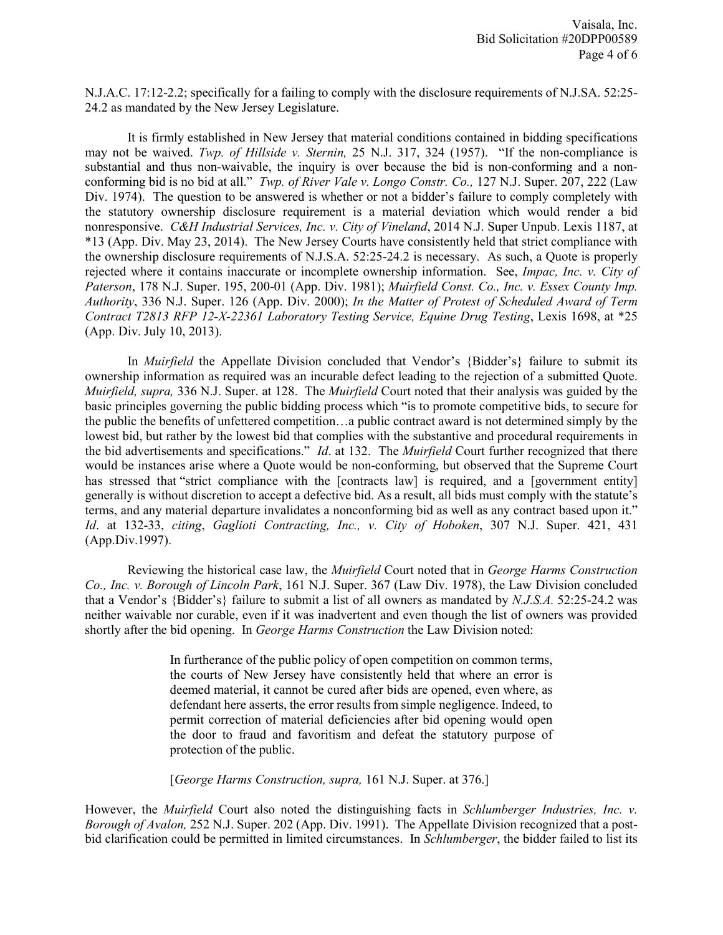N.J.A.C. 17:12-2.2; specifically for a failing to comply with the disclosure requirements of N.J.SA. 52:25- 24.2 as mandated by the New Jersey Legislature.

It is firmly established in New Jersey that material conditions contained in bidding specifications may not be waived. *Twp. of Hillside v. Sternin,* 25 N.J. 317, 324 (1957). "If the non-compliance is substantial and thus non-waivable, the inquiry is over because the bid is non-conforming and a nonconforming bid is no bid at all." *Twp. of River Vale v. Longo Constr. Co.,* 127 N.J. Super. 207, 222 (Law Div. 1974). The question to be answered is whether or not a bidder's failure to comply completely with the statutory ownership disclosure requirement is a material deviation which would render a bid nonresponsive. *C&H Industrial Services, Inc. v. City of Vineland*, 2014 N.J. Super Unpub. Lexis 1187, at \*13 (App. Div. May 23, 2014). The New Jersey Courts have consistently held that strict compliance with the ownership disclosure requirements of N.J.S.A. 52:25-24.2 is necessary. As such, a Quote is properly rejected where it contains inaccurate or incomplete ownership information. See, *Impac, Inc. v. City of Paterson*, 178 N.J. Super. 195, 200-01 (App. Div. 1981); *Muirfield Const. Co., Inc. v. Essex County Imp. Authority*, 336 N.J. Super. 126 (App. Div. 2000); *In the Matter of Protest of Scheduled Award of Term Contract T2813 RFP 12-X-22361 Laboratory Testing Service, Equine Drug Testing*, Lexis 1698, at \*25 (App. Div. July 10, 2013).

In *Muirfield* the Appellate Division concluded that Vendor's {Bidder's} failure to submit its ownership information as required was an incurable defect leading to the rejection of a submitted Quote. *Muirfield, supra,* 336 N.J. Super. at 128. The *Muirfield* Court noted that their analysis was guided by the basic principles governing the public bidding process which "is to promote competitive bids, to secure for the public the benefits of unfettered competition…a public contract award is not determined simply by the lowest bid, but rather by the lowest bid that complies with the substantive and procedural requirements in the bid advertisements and specifications." *Id*. at 132. The *Muirfield* Court further recognized that there would be instances arise where a Quote would be non-conforming, but observed that the Supreme Court has stressed that "strict compliance with the [contracts law] is required, and a [government entity] generally is without discretion to accept a defective bid. As a result, all bids must comply with the statute's terms, and any material departure invalidates a nonconforming bid as well as any contract based upon it." *Id*. at 132-33, *citing*, *Gaglioti Contracting, Inc., v. City of Hoboken*, 307 N.J. Super. 421, 431 (App.Div.1997).

Reviewing the historical case law, the *Muirfield* Court noted that in *George Harms Construction Co., Inc. v. Borough of Lincoln Park*, 161 N.J. Super. 367 (Law Div. 1978), the Law Division concluded that a Vendor's {Bidder's} failure to submit a list of all owners as mandated by *N.J.S.A.* 52:25-24.2 was neither waivable nor curable, even if it was inadvertent and even though the list of owners was provided shortly after the bid opening. In *George Harms Construction* the Law Division noted:

> In furtherance of the public policy of open competition on common terms, the courts of New Jersey have consistently held that where an error is deemed material, it cannot be cured after bids are opened, even where, as defendant here asserts, the error results from simple negligence. Indeed, to permit correction of material deficiencies after bid opening would open the door to fraud and favoritism and defeat the statutory purpose of protection of the public.

[*George Harms Construction, supra,* 161 N.J. Super. at 376.]

However, the *Muirfield* Court also noted the distinguishing facts in *Schlumberger Industries, Inc. v. Borough of Avalon,* 252 N.J. Super. 202 (App. Div. 1991). The Appellate Division recognized that a postbid clarification could be permitted in limited circumstances. In *Schlumberger*, the bidder failed to list its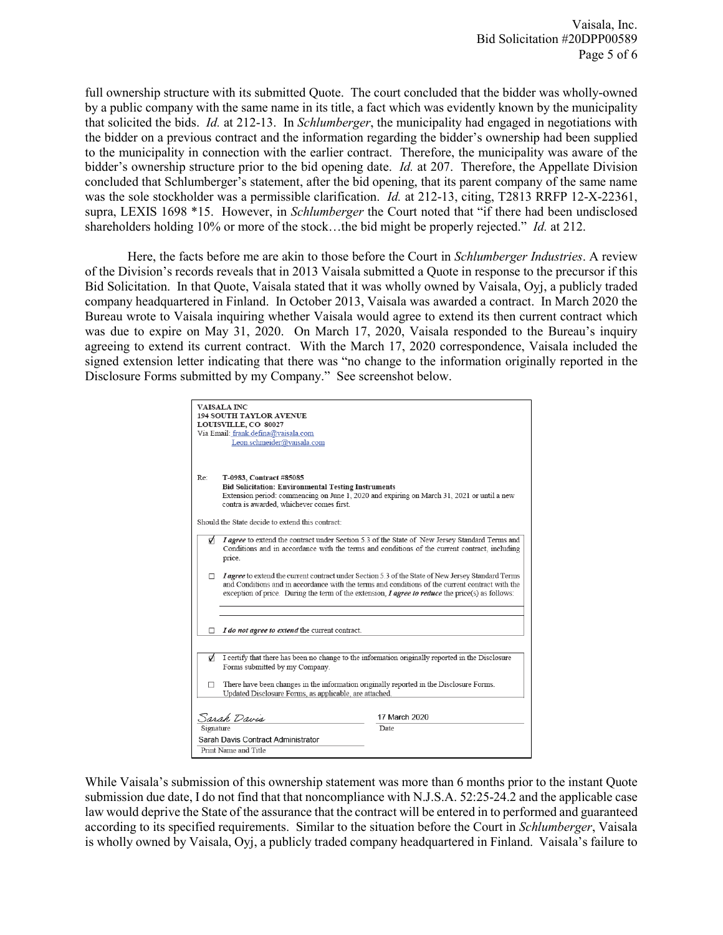full ownership structure with its submitted Quote. The court concluded that the bidder was wholly-owned by a public company with the same name in its title, a fact which was evidently known by the municipality that solicited the bids. *Id.* at 212-13. In *Schlumberger*, the municipality had engaged in negotiations with the bidder on a previous contract and the information regarding the bidder's ownership had been supplied to the municipality in connection with the earlier contract. Therefore, the municipality was aware of the bidder's ownership structure prior to the bid opening date. *Id.* at 207. Therefore, the Appellate Division concluded that Schlumberger's statement, after the bid opening, that its parent company of the same name was the sole stockholder was a permissible clarification. *Id.* at 212-13, citing, T2813 RRFP 12-X-22361, supra, LEXIS 1698 \*15. However, in *Schlumberger* the Court noted that "if there had been undisclosed shareholders holding 10% or more of the stock…the bid might be properly rejected." *Id.* at 212.

Here, the facts before me are akin to those before the Court in *Schlumberger Industries*. A review of the Division's records reveals that in 2013 Vaisala submitted a Quote in response to the precursor if this Bid Solicitation. In that Quote, Vaisala stated that it was wholly owned by Vaisala, Oyj, a publicly traded company headquartered in Finland. In October 2013, Vaisala was awarded a contract. In March 2020 the Bureau wrote to Vaisala inquiring whether Vaisala would agree to extend its then current contract which was due to expire on May 31, 2020. On March 17, 2020, Vaisala responded to the Bureau's inquiry agreeing to extend its current contract. With the March 17, 2020 correspondence, Vaisala included the signed extension letter indicating that there was "no change to the information originally reported in the Disclosure Forms submitted by my Company." See screenshot below.

| <b>VAISALA INC</b><br><b>194 SOUTH TAYLOR AVENUE</b><br>LOUISVILLE, CO 80027<br>Via Email: frank.defina@vaisala.com<br>Leon.schmeider@vaisala.com |                                                                                                                                                                                                                                                                                                             |  |  |  |  |
|---------------------------------------------------------------------------------------------------------------------------------------------------|-------------------------------------------------------------------------------------------------------------------------------------------------------------------------------------------------------------------------------------------------------------------------------------------------------------|--|--|--|--|
| Re:                                                                                                                                               | T-0983, Contract #85085<br><b>Bid Solicitation: Environmental Testing Instruments</b><br>Extension period: commencing on June 1, 2020 and expiring on March 31, 2021 or until a new<br>contra is awarded, whichever comes first.                                                                            |  |  |  |  |
|                                                                                                                                                   | Should the State decide to extend this contract:                                                                                                                                                                                                                                                            |  |  |  |  |
| ø                                                                                                                                                 | I agree to extend the contract under Section 5.3 of the State of New Jersey Standard Terms and<br>Conditions and in accordance with the terms and conditions of the current contract, including<br>price.                                                                                                   |  |  |  |  |
| П.                                                                                                                                                | I agree to extend the current contract under Section 5.3 of the State of New Jersey Standard Terms<br>and Conditions and in accordance with the terms and conditions of the current contract with the<br>exception of price. During the term of the extension, $I$ agree to reduce the price(s) as follows: |  |  |  |  |
| п                                                                                                                                                 | I do not agree to extend the current contract.                                                                                                                                                                                                                                                              |  |  |  |  |
| Ą.                                                                                                                                                | I certify that there has been no change to the information originally reported in the Disclosure<br>Forms submitted by my Company.                                                                                                                                                                          |  |  |  |  |
| п                                                                                                                                                 | There have been changes in the information originally reported in the Disclosure Forms.<br>Updated Disclosure Forms, as applicable, are attached.                                                                                                                                                           |  |  |  |  |
| 17 March 2020<br>Sarah Davis                                                                                                                      |                                                                                                                                                                                                                                                                                                             |  |  |  |  |
| Signature<br>Date                                                                                                                                 |                                                                                                                                                                                                                                                                                                             |  |  |  |  |
|                                                                                                                                                   | Sarah Davis Contract Administrator                                                                                                                                                                                                                                                                          |  |  |  |  |
|                                                                                                                                                   | Print Name and Title                                                                                                                                                                                                                                                                                        |  |  |  |  |

While Vaisala's submission of this ownership statement was more than 6 months prior to the instant Quote submission due date, I do not find that that noncompliance with N.J.S.A. 52:25-24.2 and the applicable case law would deprive the State of the assurance that the contract will be entered in to performed and guaranteed according to its specified requirements. Similar to the situation before the Court in *Schlumberger*, Vaisala is wholly owned by Vaisala, Oyj, a publicly traded company headquartered in Finland. Vaisala's failure to